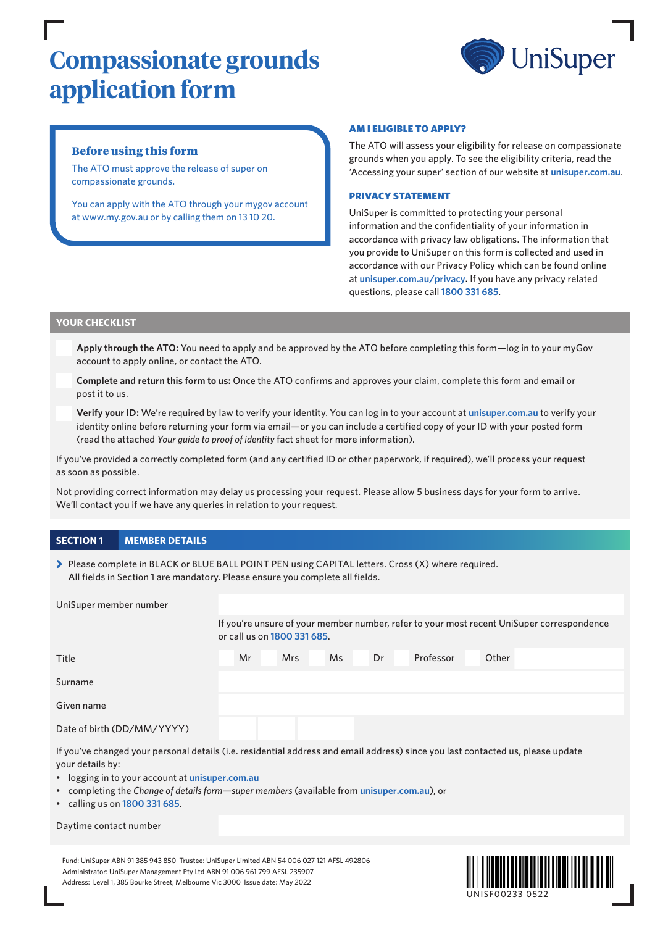# **Compassionate grounds application form**



# **Before using this form**

The ATO must approve the release of super on compassionate grounds.

You can apply with the ATO through your mygov account at www.my.gov.au or by calling them on 13 10 20.

#### AM I ELIGIBLE TO APPLY?

The ATO will assess your eligibility for release on compassionate grounds when you apply. To see the eligibility criteria, read the 'Accessing your super' section of our website at **[unisuper.com.au](http://unisuper.com.au)** .

#### PRIVACY STATEMENT

UniSuper is committed to protecting your personal information and the confidentiality of your information in accordance with privacy law obligations. The information that you provide to UniSuper on this form is collected and used in accordance with our Privacy Policy which can be found online at **[unisuper.com.au/privacy](http://unisuper.com.au/privacy).** If you have any privacy related questions, please call **1800 331 685**.

## **YOUR CHECKLIST**

**Apply through the ATO:** You need to apply and be approved by the ATO before completing this form—log in to your myGov account to apply online, or contact the ATO.

**Complete and return this form to us:** Once the ATO confirms and approves your claim, complete this form and email or post it to us.

**Verify your ID:** We're required by law to verify your identity. You can log in to your account at **[unisuper.com.au](http://unisuper.com.au)** to verify your identity online before returning your form via email—or you can include a certified copy of your ID with your posted form (read the attached *Your guide to proof of identity* fact sheet for more information).

If you've provided a correctly completed form (and any certified ID or other paperwork, if required), we'll process your request as soon as possible.

Not providing correct information may delay us processing your request. Please allow 5 business days for your form to arrive. We'll contact you if we have any queries in relation to your request.

# **SECTION 1 MEMBER DETAILS**

> Please complete in BLACK or BLUE BALL POINT PEN using CAPITAL letters. Cross (X) where required. All fields in Section 1 are mandatory. Please ensure you complete all fields.

| UniSuper member number                                                                                                          |                                                                                                                          |            |     |    |           |       |  |  |
|---------------------------------------------------------------------------------------------------------------------------------|--------------------------------------------------------------------------------------------------------------------------|------------|-----|----|-----------|-------|--|--|
|                                                                                                                                 | If you're unsure of your member number, refer to your most recent UniSuper correspondence<br>or call us on 1800 331 685. |            |     |    |           |       |  |  |
| Title                                                                                                                           | Mr                                                                                                                       | <b>Mrs</b> | Ms. | Dr | Professor | Other |  |  |
| Surname                                                                                                                         |                                                                                                                          |            |     |    |           |       |  |  |
| Given name                                                                                                                      |                                                                                                                          |            |     |    |           |       |  |  |
| Date of birth (DD/MM/YYYY)                                                                                                      |                                                                                                                          |            |     |    |           |       |  |  |
| If you've changed your personal details (i.e. residential address and email address) since you last contacted us, please update |                                                                                                                          |            |     |    |           |       |  |  |

• logging in to your account at **[unisuper.com.au](http://unisuper.com.au)**

- completing the *Change of details form—super members* (available from **[unisuper.com.au](http://unisuper.com.au)** ), or
- calling us on **1800 331 685**.

#### Daytime contact number

your details by:

Fund: UniSuper ABN 91 385 943 850 Trustee: UniSuper Limited ABN 54 006 027 121 AFSL 492806 Administrator: UniSuper Management Pty Ltd ABN 91 006 961 799 AFSL 235907 Address: Level 1, 385 Bourke Street, Melbourne Vic 3000 Issue date: May 2022

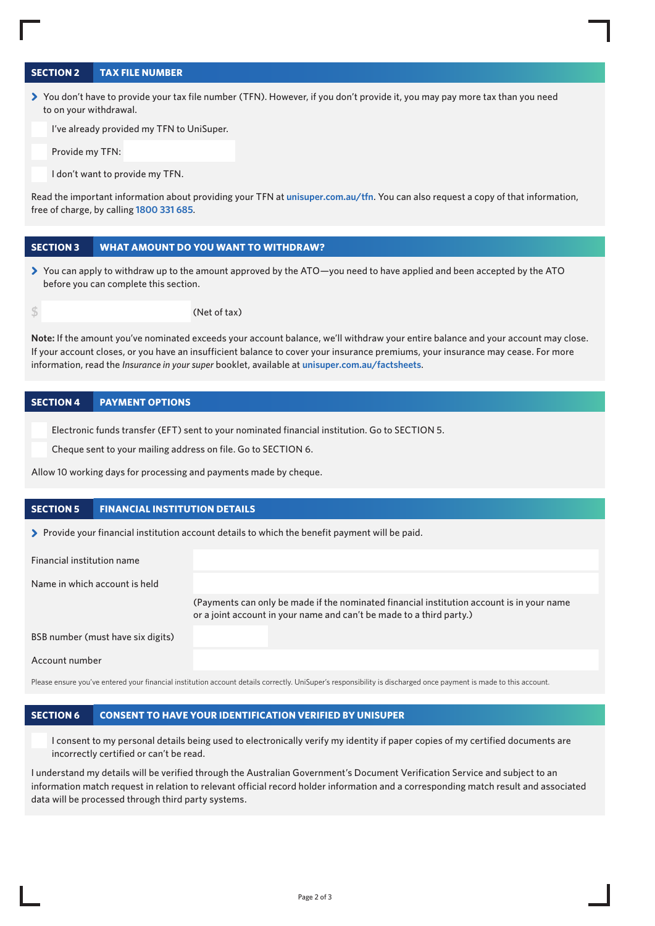## **SECTION 2 TAX FILE NUMBER**

> You don't have to provide your tax file number (TFN). However, if you don't provide it, you may pay more tax than you need to on your withdrawal.

I've already provided my TFN to UniSuper.

Provide my TFN:

I don't want to provide my TFN.

Read the important information about providing your TFN at **[unisuper.com.au/tfn](http://unisuper.com.au/tfn)** . You can also request a copy of that information, free of charge, by calling **1800 331 685**.

## **SECTION 3 WHAT AMOUNT DO YOU WANT TO WITHDRAW?**

> You can apply to withdraw up to the amount approved by the ATO—you need to have applied and been accepted by the ATO before you can complete this section.

**\$** (Net of tax)

**Note:** If the amount you've nominated exceeds your account balance, we'll withdraw your entire balance and your account may close. If your account closes, or you have an insufficient balance to cover your insurance premiums, your insurance may cease. For more information, read the *Insurance in your super* booklet, available at **[unisuper.com.au/factsheets](http://unisuper.com.au/factsheets)** .

#### **SECTION 4 PAYMENT OPTIONS**

Electronic funds transfer (EFT) sent to your nominated financial institution. Go to SECTION 5.

Cheque sent to your mailing address on file. Go to SECTION 6.

Allow 10 working days for processing and payments made by cheque.

#### **SECTION 5 FINANCIAL INSTITUTION DETAILS**

> Provide your financial institution account details to which the benefit payment will be paid.

| Financial institution name        |                                                                                                                                                                   |
|-----------------------------------|-------------------------------------------------------------------------------------------------------------------------------------------------------------------|
| Name in which account is held     |                                                                                                                                                                   |
|                                   | (Payments can only be made if the nominated financial institution account is in your name<br>or a joint account in your name and can't be made to a third party.) |
| BSB number (must have six digits) |                                                                                                                                                                   |
| Account number                    |                                                                                                                                                                   |

Please ensure you've entered your financial institution account details correctly. UniSuper's responsibility is discharged once payment is made to this account.

#### **SECTION 6 CONSENT TO HAVE YOUR IDENTIFICATION VERIFIED BY UNISUPER**

I consent to my personal details being used to electronically verify my identity if paper copies of my certified documents are incorrectly certified or can't be read.

I understand my details will be verified through the Australian Government's Document Verification Service and subject to an information match request in relation to relevant official record holder information and a corresponding match result and associated data will be processed through third party systems.